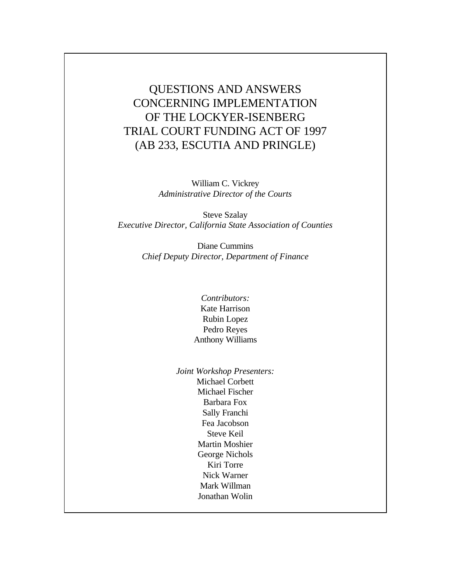QUESTIONS AND ANSWERS CONCERNING IMPLEMENTATION OF THE LOCKYER-ISENBERG TRIAL COURT FUNDING ACT OF 1997 (AB 233, ESCUTIA AND PRINGLE)

> William C. Vickrey *Administrative Director of the Courts*

Steve Szalay *Executive Director, California State Association of Counties*

> Diane Cummins *Chief Deputy Director, Department of Finance*

- *Contributors:* Kate Harrison Rubin Lopez Pedro Reyes Anthony Williams
- *Joint Workshop Presenters:* Michael Corbett Michael Fischer Barbara Fox Sally Franchi Fea Jacobson Steve Keil Martin Moshier George Nichols Kiri Torre Nick Warner Mark Willman Jonathan Wolin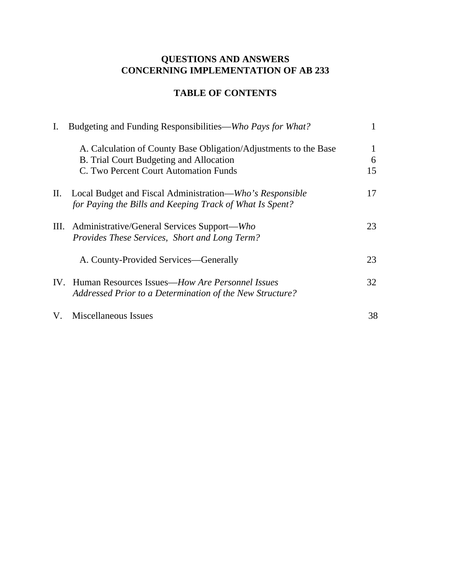# **QUESTIONS AND ANSWERS CONCERNING IMPLEMENTATION OF AB 233**

# **TABLE OF CONTENTS**

| $\mathbf{I}$ . | Budgeting and Funding Responsibilities—Who Pays for What?        |    |
|----------------|------------------------------------------------------------------|----|
|                | A. Calculation of County Base Obligation/Adjustments to the Base | 1  |
|                | B. Trial Court Budgeting and Allocation                          | 6  |
|                | C. Two Percent Court Automation Funds                            | 15 |
| П.             | Local Budget and Fiscal Administration—Who's Responsible         | 17 |
|                | for Paying the Bills and Keeping Track of What Is Spent?         |    |
| III.           | Administrative/General Services Support—Who                      | 23 |
|                | Provides These Services, Short and Long Term?                    |    |
|                | A. County-Provided Services—Generally                            | 23 |
|                | IV. Human Resources Issues— <i>How Are Personnel Issues</i>      | 32 |
|                | Addressed Prior to a Determination of the New Structure?         |    |
| V.             | Miscellaneous Issues                                             | 38 |
|                |                                                                  |    |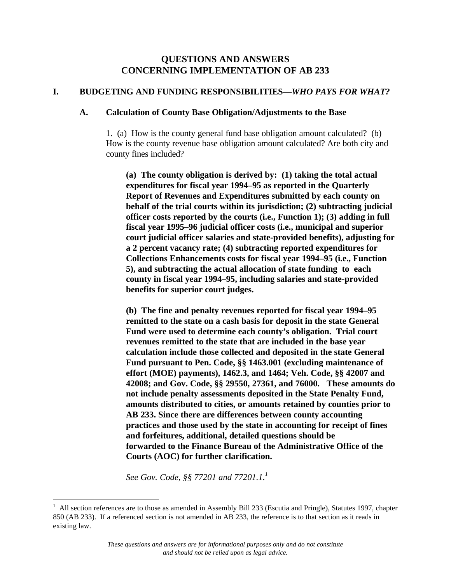# **QUESTIONS AND ANSWERS CONCERNING IMPLEMENTATION OF AB 233**

# **I. BUDGETING AND FUNDING RESPONSIBILITIES—***WHO PAYS FOR WHAT?*

#### **A. Calculation of County Base Obligation/Adjustments to the Base**

1. (a) How is the county general fund base obligation amount calculated? (b) How is the county revenue base obligation amount calculated? Are both city and county fines included?

**(a) The county obligation is derived by: (1) taking the total actual expenditures for fiscal year 1994–95 as reported in the Quarterly Report of Revenues and Expenditures submitted by each county on behalf of the trial courts within its jurisdiction; (2) subtracting judicial officer costs reported by the courts (i.e., Function 1); (3) adding in full fiscal year 1995–96 judicial officer costs (i.e., municipal and superior court judicial officer salaries and state-provided benefits), adjusting for a 2 percent vacancy rate; (4) subtracting reported expenditures for Collections Enhancements costs for fiscal year 1994–95 (i.e., Function 5), and subtracting the actual allocation of state funding to each county in fiscal year 1994–95, including salaries and state-provided benefits for superior court judges.**

**(b) The fine and penalty revenues reported for fiscal year 1994–95 remitted to the state on a cash basis for deposit in the state General Fund were used to determine each county's obligation. Trial court revenues remitted to the state that are included in the base year calculation include those collected and deposited in the state General Fund pursuant to Pen. Code, §§ 1463.001 (excluding maintenance of effort (MOE) payments), 1462.3, and 1464; Veh. Code, §§ 42007 and 42008; and Gov. Code, §§ 29550, 27361, and 76000. These amounts do not include penalty assessments deposited in the State Penalty Fund, amounts distributed to cities, or amounts retained by counties prior to AB 233. Since there are differences between county accounting practices and those used by the state in accounting for receipt of fines and forfeitures, additional, detailed questions should be forwarded to the Finance Bureau of the Administrative Office of the Courts (AOC) for further clarification.**

*See Gov. Code, §§ 77201 and 77201.1.<sup>1</sup>*

 $\overline{a}$ 

<sup>&</sup>lt;sup>1</sup> All section references are to those as amended in Assembly Bill 233 (Escutia and Pringle), Statutes 1997, chapter 850 (AB 233). If a referenced section is not amended in AB 233, the reference is to that section as it reads in existing law.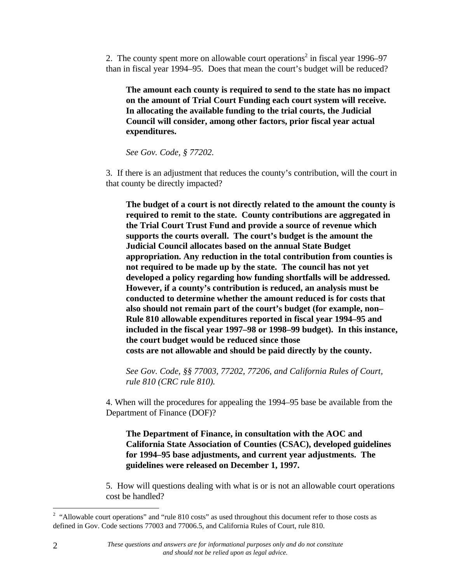2. The county spent more on allowable court operations<sup>2</sup> in fiscal year 1996–97 than in fiscal year 1994–95. Does that mean the court's budget will be reduced?

**The amount each county is required to send to the state has no impact on the amount of Trial Court Funding each court system will receive. In allocating the available funding to the trial courts, the Judicial Council will consider, among other factors, prior fiscal year actual expenditures.**

*See Gov. Code, § 77202.*

3. If there is an adjustment that reduces the county's contribution, will the court in that county be directly impacted?

**The budget of a court is not directly related to the amount the county is required to remit to the state. County contributions are aggregated in the Trial Court Trust Fund and provide a source of revenue which supports the courts overall. The court's budget is the amount the Judicial Council allocates based on the annual State Budget appropriation. Any reduction in the total contribution from counties is not required to be made up by the state. The council has not yet developed a policy regarding how funding shortfalls will be addressed. However, if a county's contribution is reduced, an analysis must be conducted to determine whether the amount reduced is for costs that also should not remain part of the court's budget (for example, non– Rule 810 allowable expenditures reported in fiscal year 1994–95 and included in the fiscal year 1997–98 or 1998–99 budget). In this instance, the court budget would be reduced since those costs are not allowable and should be paid directly by the county.**

*See Gov. Code, §§ 77003, 77202, 77206, and California Rules of Court, rule 810 (CRC rule 810).*

4. When will the procedures for appealing the 1994–95 base be available from the Department of Finance (DOF)?

**The Department of Finance, in consultation with the AOC and California State Association of Counties (CSAC), developed guidelines for 1994–95 base adjustments, and current year adjustments. The guidelines were released on December 1, 1997.**

5. How will questions dealing with what is or is not an allowable court operations cost be handled?

 $\overline{a}$ 

<sup>&</sup>lt;sup>2</sup> "Allowable court operations" and "rule 810 costs" as used throughout this document refer to those costs as defined in Gov. Code sections 77003 and 77006.5, and California Rules of Court, rule 810.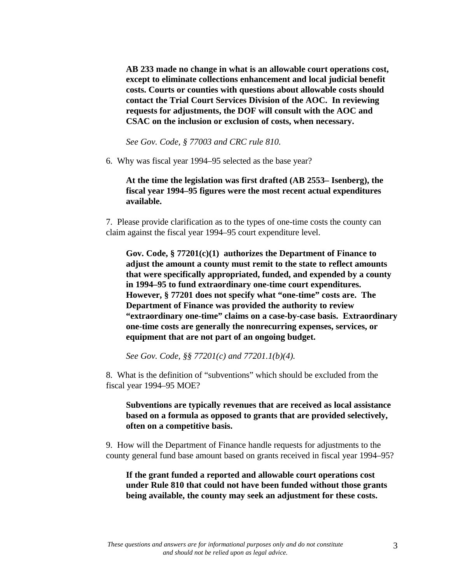**AB 233 made no change in what is an allowable court operations cost, except to eliminate collections enhancement and local judicial benefit costs. Courts or counties with questions about allowable costs should contact the Trial Court Services Division of the AOC. In reviewing requests for adjustments, the DOF will consult with the AOC and CSAC on the inclusion or exclusion of costs, when necessary.**

*See Gov. Code, § 77003 and CRC rule 810.*

6. Why was fiscal year 1994–95 selected as the base year?

**At the time the legislation was first drafted (AB 2553– Isenberg), the fiscal year 1994–95 figures were the most recent actual expenditures available.**

7. Please provide clarification as to the types of one-time costs the county can claim against the fiscal year 1994–95 court expenditure level.

**Gov. Code, § 77201(c)(1) authorizes the Department of Finance to adjust the amount a county must remit to the state to reflect amounts that were specifically appropriated, funded, and expended by a county in 1994–95 to fund extraordinary one-time court expenditures. However, § 77201 does not specify what "one-time" costs are. The Department of Finance was provided the authority to review "extraordinary one-time" claims on a case-by-case basis. Extraordinary one-time costs are generally the nonrecurring expenses, services, or equipment that are not part of an ongoing budget.**

*See Gov. Code, §§ 77201(c) and 77201.1(b)(4).*

8. What is the definition of "subventions" which should be excluded from the fiscal year 1994–95 MOE?

**Subventions are typically revenues that are received as local assistance based on a formula as opposed to grants that are provided selectively, often on a competitive basis.**

9. How will the Department of Finance handle requests for adjustments to the county general fund base amount based on grants received in fiscal year 1994–95?

**If the grant funded a reported and allowable court operations cost under Rule 810 that could not have been funded without those grants being available, the county may seek an adjustment for these costs.**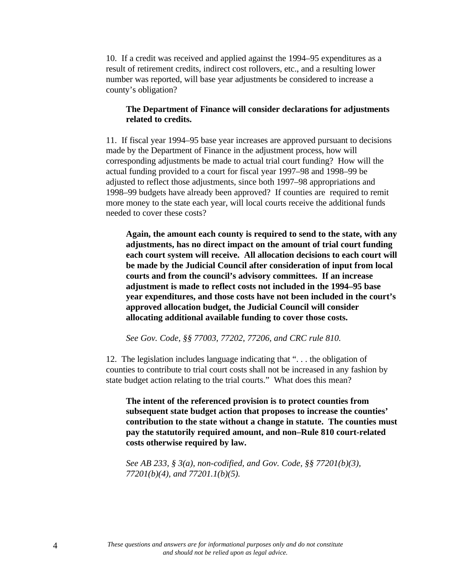10. If a credit was received and applied against the 1994–95 expenditures as a result of retirement credits, indirect cost rollovers, etc., and a resulting lower number was reported, will base year adjustments be considered to increase a county's obligation?

### **The Department of Finance will consider declarations for adjustments related to credits.**

11. If fiscal year 1994–95 base year increases are approved pursuant to decisions made by the Department of Finance in the adjustment process, how will corresponding adjustments be made to actual trial court funding? How will the actual funding provided to a court for fiscal year 1997–98 and 1998–99 be adjusted to reflect those adjustments, since both 1997–98 appropriations and 1998–99 budgets have already been approved? If counties are required to remit more money to the state each year, will local courts receive the additional funds needed to cover these costs?

**Again, the amount each county is required to send to the state, with any adjustments, has no direct impact on the amount of trial court funding each court system will receive. All allocation decisions to each court will be made by the Judicial Council after consideration of input from local courts and from the council's advisory committees. If an increase adjustment is made to reflect costs not included in the 1994–95 base year expenditures, and those costs have not been included in the court's approved allocation budget, the Judicial Council will consider allocating additional available funding to cover those costs.**

*See Gov. Code, §§ 77003, 77202, 77206, and CRC rule 810.*

12. The legislation includes language indicating that ". . . the obligation of counties to contribute to trial court costs shall not be increased in any fashion by state budget action relating to the trial courts." What does this mean?

**The intent of the referenced provision is to protect counties from subsequent state budget action that proposes to increase the counties' contribution to the state without a change in statute. The counties must pay the statutorily required amount, and non–Rule 810 court-related costs otherwise required by law.**

*See AB 233, § 3(a), non-codified, and Gov. Code, §§ 77201(b)(3), 77201(b)(4), and 77201.1(b)(5).*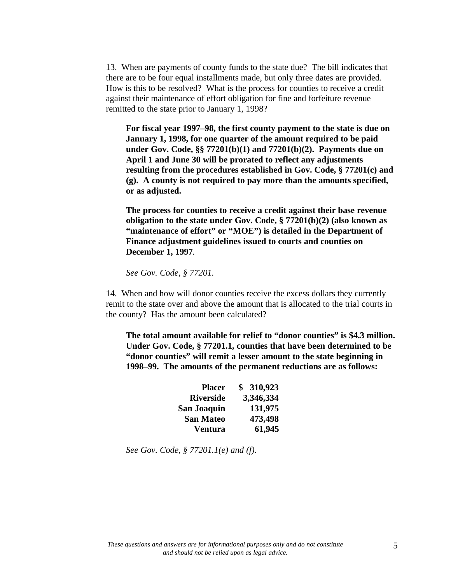13. When are payments of county funds to the state due? The bill indicates that there are to be four equal installments made, but only three dates are provided. How is this to be resolved? What is the process for counties to receive a credit against their maintenance of effort obligation for fine and forfeiture revenue remitted to the state prior to January 1, 1998?

**For fiscal year 1997–98, the first county payment to the state is due on January 1, 1998, for one quarter of the amount required to be paid under Gov. Code, §§ 77201(b)(1) and 77201(b)(2). Payments due on April 1 and June 30 will be prorated to reflect any adjustments resulting from the procedures established in Gov. Code, § 77201(c) and (g). A county is not required to pay more than the amounts specified, or as adjusted.**

**The process for counties to receive a credit against their base revenue obligation to the state under Gov. Code, § 77201(b)(2) (also known as "maintenance of effort" or "MOE") is detailed in the Department of Finance adjustment guidelines issued to courts and counties on December 1, 1997***.*

*See Gov. Code, § 77201.*

14. When and how will donor counties receive the excess dollars they currently remit to the state over and above the amount that is allocated to the trial courts in the county? Has the amount been calculated?

**The total amount available for relief to "donor counties" is \$4.3 million. Under Gov. Code, § 77201.1, counties that have been determined to be "donor counties" will remit a lesser amount to the state beginning in 1998–99. The amounts of the permanent reductions are as follows:**

| <b>Placer</b>      | \$310,923 |
|--------------------|-----------|
| <b>Riverside</b>   | 3,346,334 |
| <b>San Joaquin</b> | 131,975   |
| <b>San Mateo</b>   | 473,498   |
| <b>Ventura</b>     | 61,945    |

*See Gov. Code, § 77201.1(e) and (f).*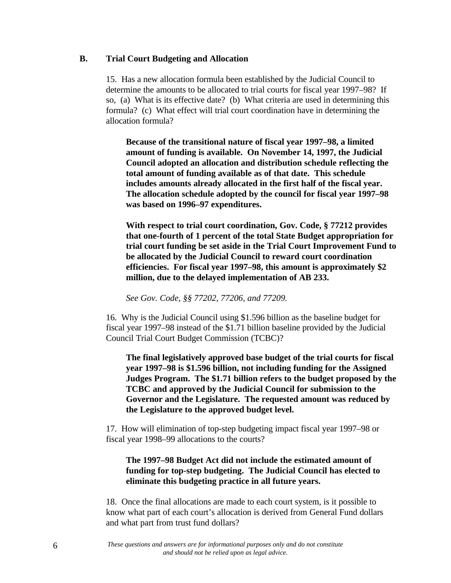#### **B. Trial Court Budgeting and Allocation**

15. Has a new allocation formula been established by the Judicial Council to determine the amounts to be allocated to trial courts for fiscal year 1997–98? If so, (a) What is its effective date? (b) What criteria are used in determining this formula? (c) What effect will trial court coordination have in determining the allocation formula?

**Because of the transitional nature of fiscal year 1997–98, a limited amount of funding is available. On November 14, 1997, the Judicial Council adopted an allocation and distribution schedule reflecting the total amount of funding available as of that date. This schedule includes amounts already allocated in the first half of the fiscal year. The allocation schedule adopted by the council for fiscal year 1997–98 was based on 1996–97 expenditures.**

**With respect to trial court coordination, Gov. Code, § 77212 provides that one-fourth of 1 percent of the total State Budget appropriation for trial court funding be set aside in the Trial Court Improvement Fund to be allocated by the Judicial Council to reward court coordination efficiencies. For fiscal year 1997–98, this amount is approximately \$2 million, due to the delayed implementation of AB 233.**

*See Gov. Code, §§ 77202, 77206, and 77209.*

16. Why is the Judicial Council using \$1.596 billion as the baseline budget for fiscal year 1997–98 instead of the \$1.71 billion baseline provided by the Judicial Council Trial Court Budget Commission (TCBC)?

**The final legislatively approved base budget of the trial courts for fiscal year 1997–98 is \$1.596 billion, not including funding for the Assigned Judges Program. The \$1.71 billion refers to the budget proposed by the TCBC and approved by the Judicial Council for submission to the Governor and the Legislature. The requested amount was reduced by the Legislature to the approved budget level.**

17. How will elimination of top-step budgeting impact fiscal year 1997–98 or fiscal year 1998–99 allocations to the courts?

# **The 1997–98 Budget Act did not include the estimated amount of funding for top-step budgeting. The Judicial Council has elected to eliminate this budgeting practice in all future years.**

18. Once the final allocations are made to each court system, is it possible to know what part of each court's allocation is derived from General Fund dollars and what part from trust fund dollars?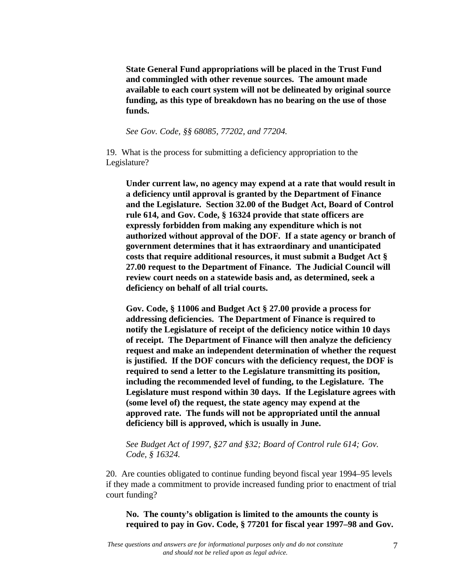**State General Fund appropriations will be placed in the Trust Fund and commingled with other revenue sources. The amount made available to each court system will not be delineated by original source funding, as this type of breakdown has no bearing on the use of those funds.**

*See Gov. Code, §§ 68085, 77202, and 77204.*

19. What is the process for submitting a deficiency appropriation to the Legislature?

**Under current law, no agency may expend at a rate that would result in a deficiency until approval is granted by the Department of Finance and the Legislature. Section 32.00 of the Budget Act, Board of Control rule 614, and Gov. Code, § 16324 provide that state officers are expressly forbidden from making any expenditure which is not authorized without approval of the DOF. If a state agency or branch of government determines that it has extraordinary and unanticipated costs that require additional resources, it must submit a Budget Act § 27.00 request to the Department of Finance. The Judicial Council will review court needs on a statewide basis and, as determined, seek a deficiency on behalf of all trial courts.**

**Gov. Code, § 11006 and Budget Act § 27.00 provide a process for addressing deficiencies. The Department of Finance is required to notify the Legislature of receipt of the deficiency notice within 10 days of receipt. The Department of Finance will then analyze the deficiency request and make an independent determination of whether the request is justified. If the DOF concurs with the deficiency request, the DOF is required to send a letter to the Legislature transmitting its position, including the recommended level of funding, to the Legislature. The Legislature must respond within 30 days. If the Legislature agrees with (some level of) the request, the state agency may expend at the approved rate. The funds will not be appropriated until the annual deficiency bill is approved, which is usually in June.**

*See Budget Act of 1997, §27 and §32; Board of Control rule 614; Gov. Code, § 16324.*

20. Are counties obligated to continue funding beyond fiscal year 1994–95 levels if they made a commitment to provide increased funding prior to enactment of trial court funding?

**No. The county's obligation is limited to the amounts the county is required to pay in Gov. Code, § 77201 for fiscal year 1997–98 and Gov.**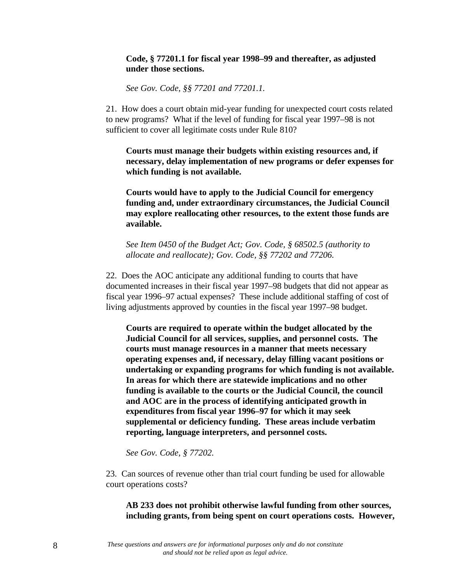# **Code, § 77201.1 for fiscal year 1998–99 and thereafter, as adjusted under those sections.**

*See Gov. Code, §§ 77201 and 77201.1.*

21. How does a court obtain mid-year funding for unexpected court costs related to new programs? What if the level of funding for fiscal year 1997–98 is not sufficient to cover all legitimate costs under Rule 810?

**Courts must manage their budgets within existing resources and, if necessary, delay implementation of new programs or defer expenses for which funding is not available.**

**Courts would have to apply to the Judicial Council for emergency funding and, under extraordinary circumstances, the Judicial Council may explore reallocating other resources, to the extent those funds are available.**

*See Item 0450 of the Budget Act; Gov. Code, § 68502.5 (authority to allocate and reallocate); Gov. Code, §§ 77202 and 77206.*

22. Does the AOC anticipate any additional funding to courts that have documented increases in their fiscal year 1997–98 budgets that did not appear as fiscal year 1996–97 actual expenses? These include additional staffing of cost of living adjustments approved by counties in the fiscal year 1997–98 budget.

**Courts are required to operate within the budget allocated by the Judicial Council for all services, supplies, and personnel costs. The courts must manage resources in a manner that meets necessary operating expenses and, if necessary, delay filling vacant positions or undertaking or expanding programs for which funding is not available. In areas for which there are statewide implications and no other funding is available to the courts or the Judicial Council, the council and AOC are in the process of identifying anticipated growth in expenditures from fiscal year 1996–97 for which it may seek supplemental or deficiency funding. These areas include verbatim reporting, language interpreters, and personnel costs.**

*See Gov. Code, § 77202.*

23. Can sources of revenue other than trial court funding be used for allowable court operations costs?

### **AB 233 does not prohibit otherwise lawful funding from other sources, including grants, from being spent on court operations costs. However,**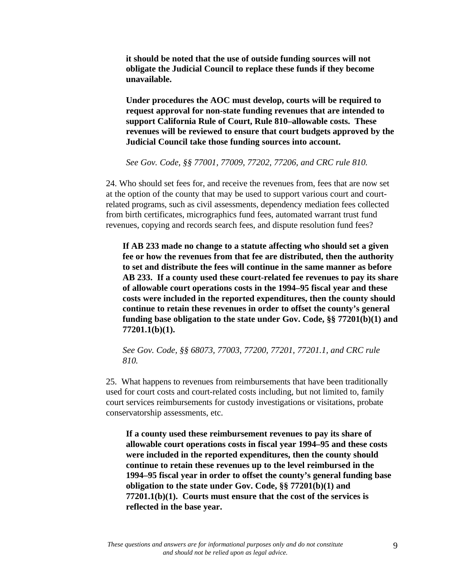**it should be noted that the use of outside funding sources will not obligate the Judicial Council to replace these funds if they become unavailable.**

**Under procedures the AOC must develop, courts will be required to request approval for non-state funding revenues that are intended to support California Rule of Court, Rule 810–allowable costs. These revenues will be reviewed to ensure that court budgets approved by the Judicial Council take those funding sources into account.**

*See Gov. Code, §§ 77001, 77009, 77202, 77206, and CRC rule 810.*

24. Who should set fees for, and receive the revenues from, fees that are now set at the option of the county that may be used to support various court and courtrelated programs, such as civil assessments, dependency mediation fees collected from birth certificates, micrographics fund fees, automated warrant trust fund revenues, copying and records search fees, and dispute resolution fund fees?

**If AB 233 made no change to a statute affecting who should set a given fee or how the revenues from that fee are distributed, then the authority to set and distribute the fees will continue in the same manner as before AB 233. If a county used these court-related fee revenues to pay its share of allowable court operations costs in the 1994–95 fiscal year and these costs were included in the reported expenditures, then the county should continue to retain these revenues in order to offset the county's general funding base obligation to the state under Gov. Code, §§ 77201(b)(1) and 77201.1(b)(1).**

*See Gov. Code, §§ 68073, 77003, 77200, 77201, 77201.1, and CRC rule 810.*

25. What happens to revenues from reimbursements that have been traditionally used for court costs and court-related costs including, but not limited to, family court services reimbursements for custody investigations or visitations, probate conservatorship assessments, etc.

**If a county used these reimbursement revenues to pay its share of allowable court operations costs in fiscal year 1994–95 and these costs were included in the reported expenditures, then the county should continue to retain these revenues up to the level reimbursed in the 1994–95 fiscal year in order to offset the county's general funding base obligation to the state under Gov. Code, §§ 77201(b)(1) and 77201.1(b)(1). Courts must ensure that the cost of the services is reflected in the base year.**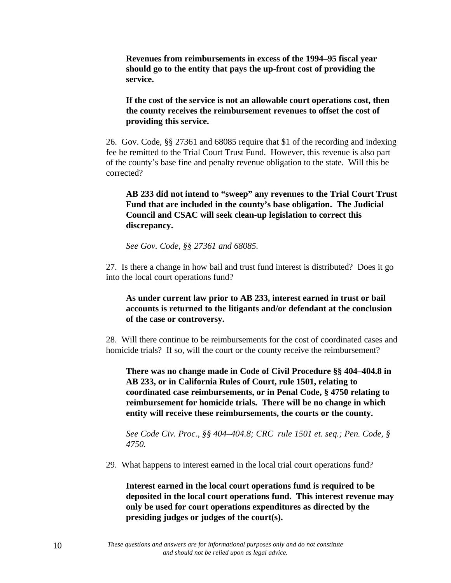**Revenues from reimbursements in excess of the 1994–95 fiscal year should go to the entity that pays the up-front cost of providing the service.**

**If the cost of the service is not an allowable court operations cost, then the county receives the reimbursement revenues to offset the cost of providing this service.**

26. Gov. Code, §§ 27361 and 68085 require that \$1 of the recording and indexing fee be remitted to the Trial Court Trust Fund. However, this revenue is also part of the county's base fine and penalty revenue obligation to the state. Will this be corrected?

**AB 233 did not intend to "sweep" any revenues to the Trial Court Trust Fund that are included in the county's base obligation. The Judicial Council and CSAC will seek clean-up legislation to correct this discrepancy.**

*See Gov. Code, §§ 27361 and 68085.*

27. Is there a change in how bail and trust fund interest is distributed? Does it go into the local court operations fund?

**As under current law prior to AB 233, interest earned in trust or bail accounts is returned to the litigants and/or defendant at the conclusion of the case or controversy.**

28. Will there continue to be reimbursements for the cost of coordinated cases and homicide trials? If so, will the court or the county receive the reimbursement?

**There was no change made in Code of Civil Procedure §§ 404–404.8 in AB 233, or in California Rules of Court, rule 1501, relating to coordinated case reimbursements, or in Penal Code, § 4750 relating to reimbursement for homicide trials. There will be no change in which entity will receive these reimbursements, the courts or the county.**

*See Code Civ. Proc., §§ 404–404.8; CRC rule 1501 et. seq.; Pen. Code, § 4750.*

29. What happens to interest earned in the local trial court operations fund?

**Interest earned in the local court operations fund is required to be deposited in the local court operations fund. This interest revenue may only be used for court operations expenditures as directed by the presiding judges or judges of the court(s).**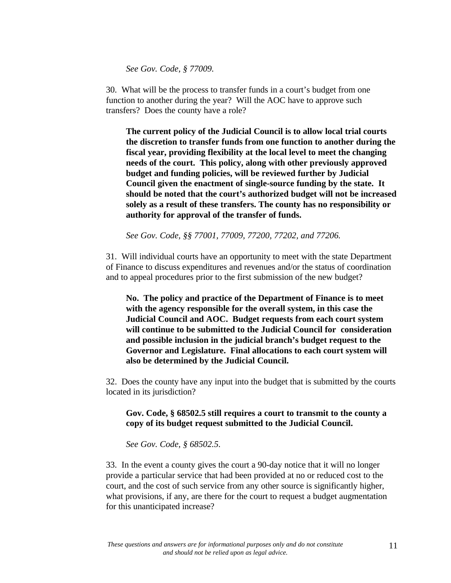*See Gov. Code, § 77009.*

30. What will be the process to transfer funds in a court's budget from one function to another during the year? Will the AOC have to approve such transfers? Does the county have a role?

**The current policy of the Judicial Council is to allow local trial courts the discretion to transfer funds from one function to another during the fiscal year, providing flexibility at the local level to meet the changing needs of the court. This policy, along with other previously approved budget and funding policies, will be reviewed further by Judicial Council given the enactment of single-source funding by the state. It should be noted that the court's authorized budget will not be increased solely as a result of these transfers. The county has no responsibility or authority for approval of the transfer of funds.**

*See Gov. Code, §§ 77001, 77009, 77200, 77202, and 77206.*

31. Will individual courts have an opportunity to meet with the state Department of Finance to discuss expenditures and revenues and/or the status of coordination and to appeal procedures prior to the first submission of the new budget?

**No. The policy and practice of the Department of Finance is to meet with the agency responsible for the overall system, in this case the Judicial Council and AOC. Budget requests from each court system will continue to be submitted to the Judicial Council for consideration and possible inclusion in the judicial branch's budget request to the Governor and Legislature. Final allocations to each court system will also be determined by the Judicial Council.**

32. Does the county have any input into the budget that is submitted by the courts located in its jurisdiction?

**Gov. Code, § 68502.5 still requires a court to transmit to the county a copy of its budget request submitted to the Judicial Council.**

*See Gov. Code, § 68502.5.*

33. In the event a county gives the court a 90-day notice that it will no longer provide a particular service that had been provided at no or reduced cost to the court, and the cost of such service from any other source is significantly higher, what provisions, if any, are there for the court to request a budget augmentation for this unanticipated increase?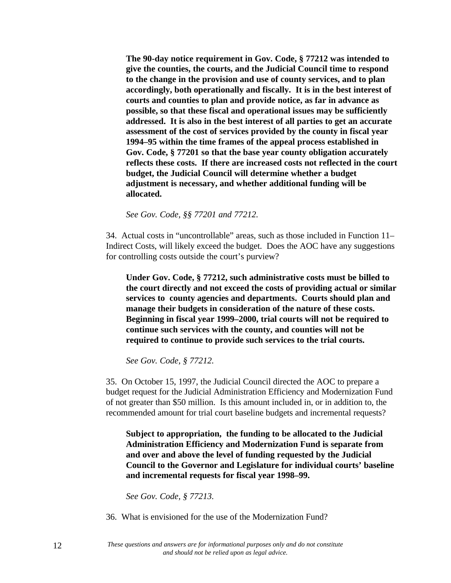**The 90-day notice requirement in Gov. Code, § 77212 was intended to give the counties, the courts, and the Judicial Council time to respond to the change in the provision and use of county services, and to plan accordingly, both operationally and fiscally. It is in the best interest of courts and counties to plan and provide notice, as far in advance as possible, so that these fiscal and operational issues may be sufficiently addressed. It is also in the best interest of all parties to get an accurate assessment of the cost of services provided by the county in fiscal year 1994–95 within the time frames of the appeal process established in Gov. Code, § 77201 so that the base year county obligation accurately reflects these costs. If there are increased costs not reflected in the court budget, the Judicial Council will determine whether a budget adjustment is necessary, and whether additional funding will be allocated.**

*See Gov. Code, §§ 77201 and 77212.*

34. Actual costs in "uncontrollable" areas, such as those included in Function 11– Indirect Costs, will likely exceed the budget. Does the AOC have any suggestions for controlling costs outside the court's purview?

**Under Gov. Code, § 77212, such administrative costs must be billed to the court directly and not exceed the costs of providing actual or similar services to county agencies and departments. Courts should plan and manage their budgets in consideration of the nature of these costs. Beginning in fiscal year 1999–2000, trial courts will not be required to continue such services with the county, and counties will not be required to continue to provide such services to the trial courts.**

*See Gov. Code, § 77212.*

35. On October 15, 1997, the Judicial Council directed the AOC to prepare a budget request for the Judicial Administration Efficiency and Modernization Fund of not greater than \$50 million. Is this amount included in, or in addition to, the recommended amount for trial court baseline budgets and incremental requests?

**Subject to appropriation, the funding to be allocated to the Judicial Administration Efficiency and Modernization Fund is separate from and over and above the level of funding requested by the Judicial Council to the Governor and Legislature for individual courts' baseline and incremental requests for fiscal year 1998–99.**

*See Gov. Code, § 77213.*

36. What is envisioned for the use of the Modernization Fund?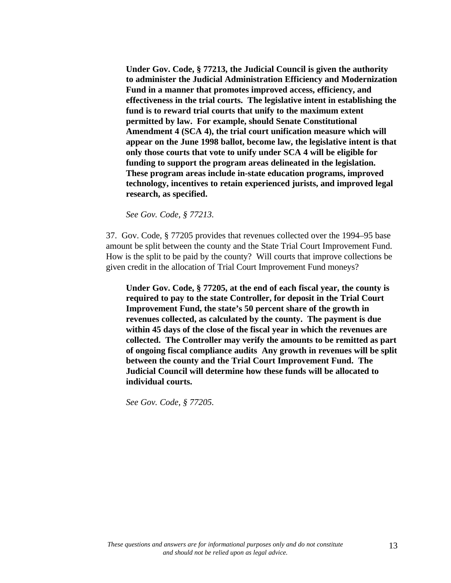**Under Gov. Code, § 77213, the Judicial Council is given the authority to administer the Judicial Administration Efficiency and Modernization Fund in a manner that promotes improved access, efficiency, and effectiveness in the trial courts. The legislative intent in establishing the fund is to reward trial courts that unify to the maximum extent permitted by law. For example, should Senate Constitutional Amendment 4 (SCA 4), the trial court unification measure which will appear on the June 1998 ballot, become law, the legislative intent is that only those courts that vote to unify under SCA 4 will be eligible for funding to support the program areas delineated in the legislation. These program areas include in-state education programs, improved technology, incentives to retain experienced jurists, and improved legal research, as specified.**

*See Gov. Code, § 77213.*

37. Gov. Code, § 77205 provides that revenues collected over the 1994–95 base amount be split between the county and the State Trial Court Improvement Fund. How is the split to be paid by the county? Will courts that improve collections be given credit in the allocation of Trial Court Improvement Fund moneys?

**Under Gov. Code, § 77205, at the end of each fiscal year, the county is required to pay to the state Controller, for deposit in the Trial Court Improvement Fund, the state's 50 percent share of the growth in revenues collected, as calculated by the county. The payment is due within 45 days of the close of the fiscal year in which the revenues are collected. The Controller may verify the amounts to be remitted as part of ongoing fiscal compliance audits Any growth in revenues will be split between the county and the Trial Court Improvement Fund. The Judicial Council will determine how these funds will be allocated to individual courts.**

*See Gov. Code, § 77205.*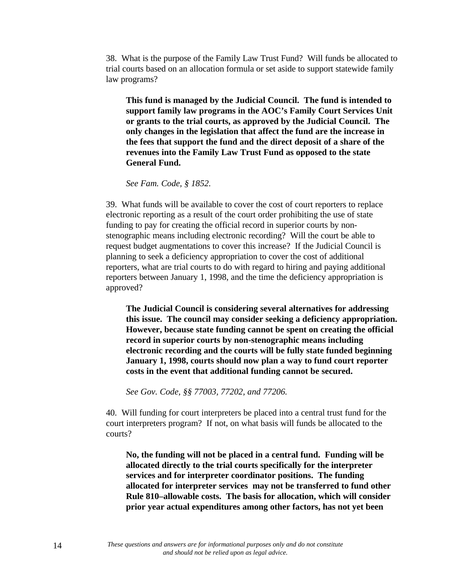38. What is the purpose of the Family Law Trust Fund? Will funds be allocated to trial courts based on an allocation formula or set aside to support statewide family law programs?

**This fund is managed by the Judicial Council. The fund is intended to support family law programs in the AOC's Family Court Services Unit or grants to the trial courts, as approved by the Judicial Council. The only changes in the legislation that affect the fund are the increase in the fees that support the fund and the direct deposit of a share of the revenues into the Family Law Trust Fund as opposed to the state General Fund.**

*See Fam. Code, § 1852.*

39. What funds will be available to cover the cost of court reporters to replace electronic reporting as a result of the court order prohibiting the use of state funding to pay for creating the official record in superior courts by nonstenographic means including electronic recording? Will the court be able to request budget augmentations to cover this increase? If the Judicial Council is planning to seek a deficiency appropriation to cover the cost of additional reporters, what are trial courts to do with regard to hiring and paying additional reporters between January 1, 1998, and the time the deficiency appropriation is approved?

**The Judicial Council is considering several alternatives for addressing this issue. The council may consider seeking a deficiency appropriation. However, because state funding cannot be spent on creating the official record in superior courts by non-stenographic means including electronic recording and the courts will be fully state funded beginning January 1, 1998, courts should now plan a way to fund court reporter costs in the event that additional funding cannot be secured.**

*See Gov. Code, §§ 77003, 77202, and 77206.*

40. Will funding for court interpreters be placed into a central trust fund for the court interpreters program? If not, on what basis will funds be allocated to the courts?

**No, the funding will not be placed in a central fund. Funding will be allocated directly to the trial courts specifically for the interpreter services and for interpreter coordinator positions. The funding allocated for interpreter services may not be transferred to fund other Rule 810–allowable costs. The basis for allocation, which will consider prior year actual expenditures among other factors, has not yet been**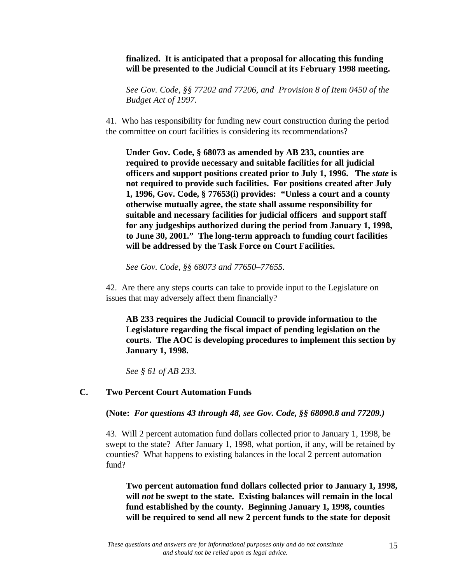# **finalized. It is anticipated that a proposal for allocating this funding will be presented to the Judicial Council at its February 1998 meeting.**

*See Gov. Code, §§ 77202 and 77206, and Provision 8 of Item 0450 of the Budget Act of 1997.*

41. Who has responsibility for funding new court construction during the period the committee on court facilities is considering its recommendations?

**Under Gov. Code, § 68073 as amended by AB 233, counties are required to provide necessary and suitable facilities for all judicial officers and support positions created prior to July 1, 1996. The** *state* **is not required to provide such facilities. For positions created after July 1, 1996, Gov. Code, § 77653(i) provides: "Unless a court and a county otherwise mutually agree, the state shall assume responsibility for suitable and necessary facilities for judicial officers and support staff for any judgeships authorized during the period from January 1, 1998, to June 30, 2001." The long-term approach to funding court facilities will be addressed by the Task Force on Court Facilities.**

*See Gov. Code, §§ 68073 and 77650–77655.*

42. Are there any steps courts can take to provide input to the Legislature on issues that may adversely affect them financially?

**AB 233 requires the Judicial Council to provide information to the Legislature regarding the fiscal impact of pending legislation on the courts. The AOC is developing procedures to implement this section by January 1, 1998.**

*See § 61 of AB 233.*

### **C. Two Percent Court Automation Funds**

**(Note:** *For questions 43 through 48, see Gov. Code, §§ 68090.8 and 77209.)*

43. Will 2 percent automation fund dollars collected prior to January 1, 1998, be swept to the state? After January 1, 1998, what portion, if any, will be retained by counties? What happens to existing balances in the local 2 percent automation fund?

**Two percent automation fund dollars collected prior to January 1, 1998, will** *not* **be swept to the state. Existing balances will remain in the local fund established by the county. Beginning January 1, 1998, counties will be required to send all new 2 percent funds to the state for deposit**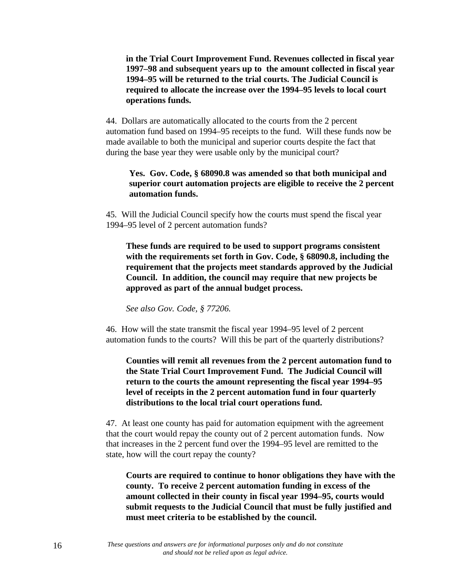**in the Trial Court Improvement Fund. Revenues collected in fiscal year 1997–98 and subsequent years up to the amount collected in fiscal year 1994–95 will be returned to the trial courts. The Judicial Council is required to allocate the increase over the 1994–95 levels to local court operations funds.**

44. Dollars are automatically allocated to the courts from the 2 percent automation fund based on 1994–95 receipts to the fund. Will these funds now be made available to both the municipal and superior courts despite the fact that during the base year they were usable only by the municipal court?

### **Yes. Gov. Code, § 68090.8 was amended so that both municipal and superior court automation projects are eligible to receive the 2 percent automation funds.**

45. Will the Judicial Council specify how the courts must spend the fiscal year 1994–95 level of 2 percent automation funds?

**These funds are required to be used to support programs consistent with the requirements set forth in Gov. Code, § 68090.8, including the requirement that the projects meet standards approved by the Judicial Council. In addition, the council may require that new projects be approved as part of the annual budget process.**

*See also Gov. Code, § 77206.*

46. How will the state transmit the fiscal year 1994–95 level of 2 percent automation funds to the courts? Will this be part of the quarterly distributions?

**Counties will remit all revenues from the 2 percent automation fund to the State Trial Court Improvement Fund. The Judicial Council will return to the courts the amount representing the fiscal year 1994–95 level of receipts in the 2 percent automation fund in four quarterly distributions to the local trial court operations fund.**

47. At least one county has paid for automation equipment with the agreement that the court would repay the county out of 2 percent automation funds. Now that increases in the 2 percent fund over the 1994–95 level are remitted to the state, how will the court repay the county?

**Courts are required to continue to honor obligations they have with the county. To receive 2 percent automation funding in excess of the amount collected in their county in fiscal year 1994–95, courts would submit requests to the Judicial Council that must be fully justified and must meet criteria to be established by the council.**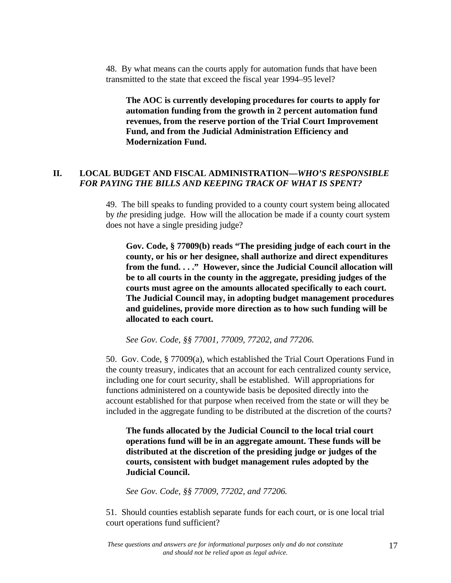48. By what means can the courts apply for automation funds that have been transmitted to the state that exceed the fiscal year 1994–95 level?

**The AOC is currently developing procedures for courts to apply for automation funding from the growth in 2 percent automation fund revenues, from the reserve portion of the Trial Court Improvement Fund, and from the Judicial Administration Efficiency and Modernization Fund.**

# **II. LOCAL BUDGET AND FISCAL ADMINISTRATION—***WHO'S RESPONSIBLE FOR PAYING THE BILLS AND KEEPING TRACK OF WHAT IS SPENT?*

49. The bill speaks to funding provided to a county court system being allocated by *the* presiding judge. How will the allocation be made if a county court system does not have a single presiding judge?

**Gov. Code, § 77009(b) reads "The presiding judge of each court in the county, or his or her designee, shall authorize and direct expenditures from the fund. . . ." However, since the Judicial Council allocation will be to all courts in the county in the aggregate, presiding judges of the courts must agree on the amounts allocated specifically to each court. The Judicial Council may, in adopting budget management procedures and guidelines, provide more direction as to how such funding will be allocated to each court.**

*See Gov. Code, §§ 77001, 77009, 77202, and 77206.*

50. Gov. Code, § 77009(a), which established the Trial Court Operations Fund in the county treasury, indicates that an account for each centralized county service, including one for court security, shall be established. Will appropriations for functions administered on a countywide basis be deposited directly into the account established for that purpose when received from the state or will they be included in the aggregate funding to be distributed at the discretion of the courts?

**The funds allocated by the Judicial Council to the local trial court operations fund will be in an aggregate amount. These funds will be distributed at the discretion of the presiding judge or judges of the courts, consistent with budget management rules adopted by the Judicial Council.**

*See Gov. Code, §§ 77009, 77202, and 77206.*

51. Should counties establish separate funds for each court, or is one local trial court operations fund sufficient?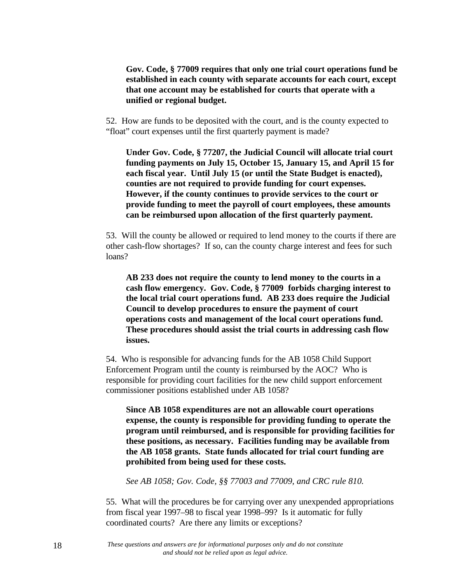**Gov. Code, § 77009 requires that only one trial court operations fund be established in each county with separate accounts for each court, except that one account may be established for courts that operate with a unified or regional budget.**

52. How are funds to be deposited with the court, and is the county expected to "float" court expenses until the first quarterly payment is made?

**Under Gov. Code, § 77207, the Judicial Council will allocate trial court funding payments on July 15, October 15, January 15, and April 15 for each fiscal year. Until July 15 (or until the State Budget is enacted), counties are not required to provide funding for court expenses. However, if the county continues to provide services to the court or provide funding to meet the payroll of court employees, these amounts can be reimbursed upon allocation of the first quarterly payment.**

53. Will the county be allowed or required to lend money to the courts if there are other cash-flow shortages? If so, can the county charge interest and fees for such loans?

**AB 233 does not require the county to lend money to the courts in a cash flow emergency. Gov. Code, § 77009 forbids charging interest to the local trial court operations fund. AB 233 does require the Judicial Council to develop procedures to ensure the payment of court operations costs and management of the local court operations fund. These procedures should assist the trial courts in addressing cash flow issues.**

54. Who is responsible for advancing funds for the AB 1058 Child Support Enforcement Program until the county is reimbursed by the AOC? Who is responsible for providing court facilities for the new child support enforcement commissioner positions established under AB 1058?

**Since AB 1058 expenditures are not an allowable court operations expense, the county is responsible for providing funding to operate the program until reimbursed, and is responsible for providing facilities for these positions, as necessary. Facilities funding may be available from the AB 1058 grants. State funds allocated for trial court funding are prohibited from being used for these costs.**

*See AB 1058; Gov. Code, §§ 77003 and 77009, and CRC rule 810.*

55. What will the procedures be for carrying over any unexpended appropriations from fiscal year 1997–98 to fiscal year 1998–99? Is it automatic for fully coordinated courts? Are there any limits or exceptions?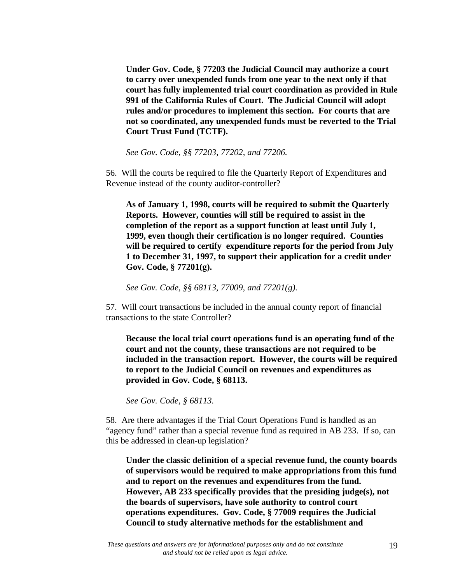**Under Gov. Code, § 77203 the Judicial Council may authorize a court to carry over unexpended funds from one year to the next only if that court has fully implemented trial court coordination as provided in Rule 991 of the California Rules of Court. The Judicial Council will adopt rules and/or procedures to implement this section. For courts that are not so coordinated, any unexpended funds must be reverted to the Trial Court Trust Fund (TCTF).**

*See Gov. Code, §§ 77203, 77202, and 77206.*

56. Will the courts be required to file the Quarterly Report of Expenditures and Revenue instead of the county auditor-controller?

**As of January 1, 1998, courts will be required to submit the Quarterly Reports. However, counties will still be required to assist in the completion of the report as a support function at least until July 1, 1999, even though their certification is no longer required. Counties will be required to certify expenditure reports for the period from July 1 to December 31, 1997, to support their application for a credit under Gov. Code, § 77201(g).**

*See Gov. Code, §§ 68113, 77009, and 77201(g).*

57. Will court transactions be included in the annual county report of financial transactions to the state Controller?

**Because the local trial court operations fund is an operating fund of the court and not the county, these transactions are not required to be included in the transaction report. However, the courts will be required to report to the Judicial Council on revenues and expenditures as provided in Gov. Code, § 68113.**

*See Gov. Code, § 68113.*

58. Are there advantages if the Trial Court Operations Fund is handled as an "agency fund" rather than a special revenue fund as required in AB 233. If so, can this be addressed in clean-up legislation?

**Under the classic definition of a special revenue fund, the county boards of supervisors would be required to make appropriations from this fund and to report on the revenues and expenditures from the fund. However, AB 233 specifically provides that the presiding judge(s), not the boards of supervisors, have sole authority to control court operations expenditures. Gov. Code, § 77009 requires the Judicial Council to study alternative methods for the establishment and**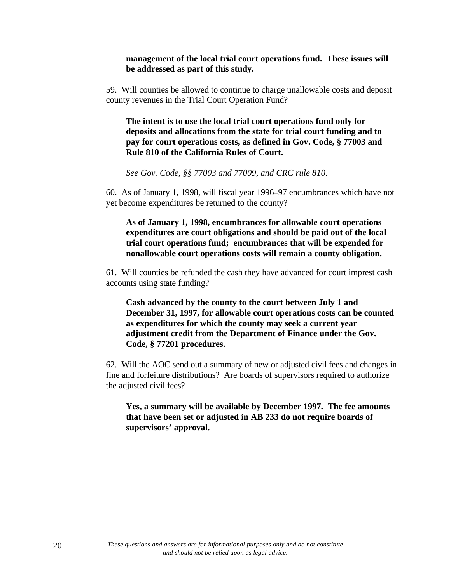#### **management of the local trial court operations fund. These issues will be addressed as part of this study.**

59. Will counties be allowed to continue to charge unallowable costs and deposit county revenues in the Trial Court Operation Fund?

**The intent is to use the local trial court operations fund only for deposits and allocations from the state for trial court funding and to pay for court operations costs, as defined in Gov. Code, § 77003 and Rule 810 of the California Rules of Court.**

*See Gov. Code, §§ 77003 and 77009, and CRC rule 810.*

60. As of January 1, 1998, will fiscal year 1996–97 encumbrances which have not yet become expenditures be returned to the county?

**As of January 1, 1998, encumbrances for allowable court operations expenditures are court obligations and should be paid out of the local trial court operations fund; encumbrances that will be expended for nonallowable court operations costs will remain a county obligation.**

61. Will counties be refunded the cash they have advanced for court imprest cash accounts using state funding?

**Cash advanced by the county to the court between July 1 and December 31, 1997, for allowable court operations costs can be counted as expenditures for which the county may seek a current year adjustment credit from the Department of Finance under the Gov. Code, § 77201 procedures.**

62. Will the AOC send out a summary of new or adjusted civil fees and changes in fine and forfeiture distributions? Are boards of supervisors required to authorize the adjusted civil fees?

**Yes, a summary will be available by December 1997. The fee amounts that have been set or adjusted in AB 233 do not require boards of supervisors' approval.**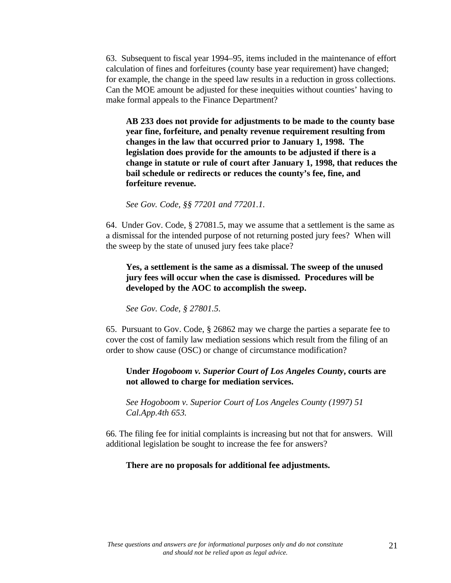63. Subsequent to fiscal year 1994–95, items included in the maintenance of effort calculation of fines and forfeitures (county base year requirement) have changed; for example, the change in the speed law results in a reduction in gross collections. Can the MOE amount be adjusted for these inequities without counties' having to make formal appeals to the Finance Department?

**AB 233 does not provide for adjustments to be made to the county base year fine, forfeiture, and penalty revenue requirement resulting from changes in the law that occurred prior to January 1, 1998. The legislation does provide for the amounts to be adjusted if there is a change in statute or rule of court after January 1, 1998, that reduces the bail schedule or redirects or reduces the county's fee, fine, and forfeiture revenue.**

*See Gov. Code, §§ 77201 and 77201.1.*

64. Under Gov. Code, § 27081.5, may we assume that a settlement is the same as a dismissal for the intended purpose of not returning posted jury fees? When will the sweep by the state of unused jury fees take place?

**Yes, a settlement is the same as a dismissal. The sweep of the unused jury fees will occur when the case is dismissed. Procedures will be developed by the AOC to accomplish the sweep.**

*See Gov. Code, § 27801.5.*

65. Pursuant to Gov. Code, § 26862 may we charge the parties a separate fee to cover the cost of family law mediation sessions which result from the filing of an order to show cause (OSC) or change of circumstance modification?

### **Under** *Hogoboom v. Superior Court of Los Angeles County***, courts are not allowed to charge for mediation services.**

*See Hogoboom v. Superior Court of Los Angeles County (1997) 51 Cal.App.4th 653.*

66. The filing fee for initial complaints is increasing but not that for answers. Will additional legislation be sought to increase the fee for answers?

#### **There are no proposals for additional fee adjustments.**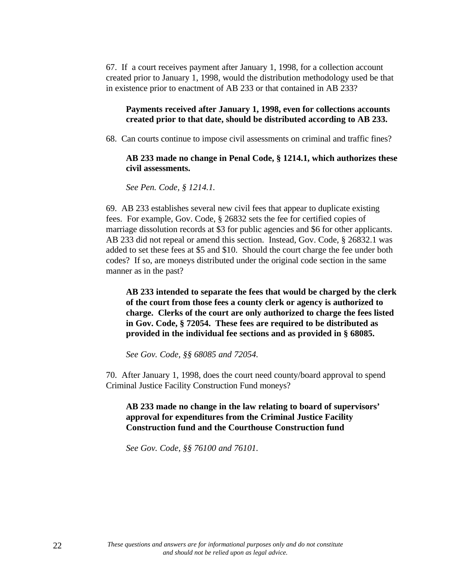67. If a court receives payment after January 1, 1998, for a collection account created prior to January 1, 1998, would the distribution methodology used be that in existence prior to enactment of AB 233 or that contained in AB 233?

### **Payments received after January 1, 1998, even for collections accounts created prior to that date, should be distributed according to AB 233.**

68. Can courts continue to impose civil assessments on criminal and traffic fines?

#### **AB 233 made no change in Penal Code, § 1214.1, which authorizes these civil assessments.**

*See Pen. Code, § 1214.1.*

69. AB 233 establishes several new civil fees that appear to duplicate existing fees. For example, Gov. Code, § 26832 sets the fee for certified copies of marriage dissolution records at \$3 for public agencies and \$6 for other applicants. AB 233 did not repeal or amend this section. Instead, Gov. Code, § 26832.1 was added to set these fees at \$5 and \$10. Should the court charge the fee under both codes? If so, are moneys distributed under the original code section in the same manner as in the past?

**AB 233 intended to separate the fees that would be charged by the clerk of the court from those fees a county clerk or agency is authorized to charge. Clerks of the court are only authorized to charge the fees listed in Gov. Code, § 72054. These fees are required to be distributed as provided in the individual fee sections and as provided in § 68085.**

*See Gov. Code, §§ 68085 and 72054.*

70. After January 1, 1998, does the court need county/board approval to spend Criminal Justice Facility Construction Fund moneys?

**AB 233 made no change in the law relating to board of supervisors' approval for expenditures from the Criminal Justice Facility Construction fund and the Courthouse Construction fund**

*See Gov. Code, §§ 76100 and 76101.*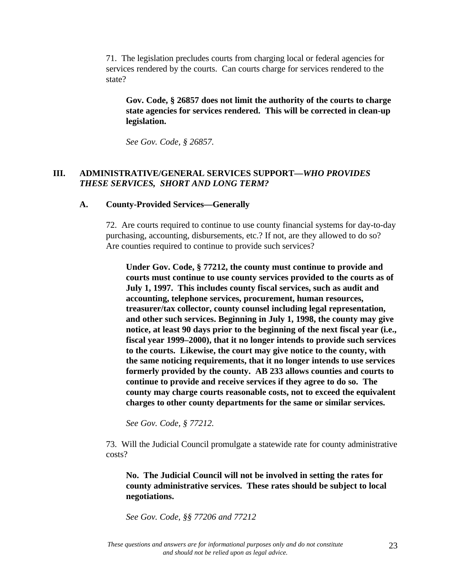71. The legislation precludes courts from charging local or federal agencies for services rendered by the courts. Can courts charge for services rendered to the state?

**Gov. Code, § 26857 does not limit the authority of the courts to charge state agencies for services rendered. This will be corrected in clean-up legislation.**

*See Gov. Code, § 26857.*

# **III. ADMINISTRATIVE/GENERAL SERVICES SUPPORT—***WHO PROVIDES THESE SERVICES, SHORT AND LONG TERM?*

#### **A. County-Provided Services—Generally**

72. Are courts required to continue to use county financial systems for day-to-day purchasing, accounting, disbursements, etc.? If not, are they allowed to do so? Are counties required to continue to provide such services?

**Under Gov. Code, § 77212, the county must continue to provide and courts must continue to use county services provided to the courts as of July 1, 1997. This includes county fiscal services, such as audit and accounting, telephone services, procurement, human resources, treasurer/tax collector, county counsel including legal representation, and other such services. Beginning in July 1, 1998, the county may give notice, at least 90 days prior to the beginning of the next fiscal year (i.e., fiscal year 1999–2000), that it no longer intends to provide such services to the courts. Likewise, the court may give notice to the county, with the same noticing requirements, that it no longer intends to use services formerly provided by the county. AB 233 allows counties and courts to continue to provide and receive services if they agree to do so. The county may charge courts reasonable costs, not to exceed the equivalent charges to other county departments for the same or similar services.**

*See Gov. Code, § 77212.*

73. Will the Judicial Council promulgate a statewide rate for county administrative costs?

**No. The Judicial Council will not be involved in setting the rates for county administrative services. These rates should be subject to local negotiations.**

*See Gov. Code, §§ 77206 and 77212*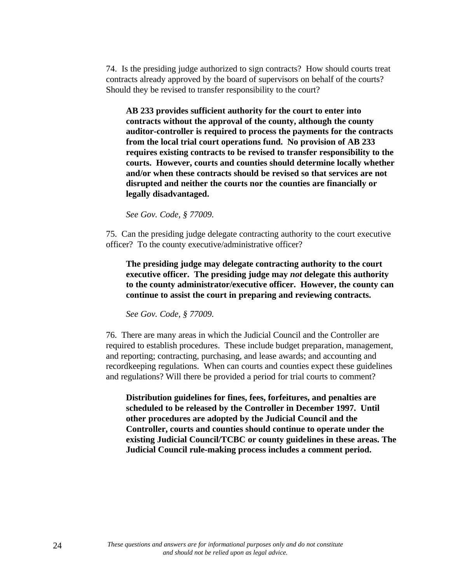74. Is the presiding judge authorized to sign contracts? How should courts treat contracts already approved by the board of supervisors on behalf of the courts? Should they be revised to transfer responsibility to the court?

**AB 233 provides sufficient authority for the court to enter into contracts without the approval of the county, although the county auditor-controller is required to process the payments for the contracts from the local trial court operations fund. No provision of AB 233 requires existing contracts to be revised to transfer responsibility to the courts. However, courts and counties should determine locally whether and/or when these contracts should be revised so that services are not disrupted and neither the courts nor the counties are financially or legally disadvantaged.**

*See Gov. Code, § 77009.*

75. Can the presiding judge delegate contracting authority to the court executive officer? To the county executive/administrative officer?

**The presiding judge may delegate contracting authority to the court executive officer. The presiding judge may** *not* **delegate this authority to the county administrator/executive officer. However, the county can continue to assist the court in preparing and reviewing contracts.**

*See Gov. Code, § 77009.*

76. There are many areas in which the Judicial Council and the Controller are required to establish procedures. These include budget preparation, management, and reporting; contracting, purchasing, and lease awards; and accounting and recordkeeping regulations. When can courts and counties expect these guidelines and regulations? Will there be provided a period for trial courts to comment?

**Distribution guidelines for fines, fees, forfeitures, and penalties are scheduled to be released by the Controller in December 1997. Until other procedures are adopted by the Judicial Council and the Controller, courts and counties should continue to operate under the existing Judicial Council/TCBC or county guidelines in these areas. The Judicial Council rule-making process includes a comment period.**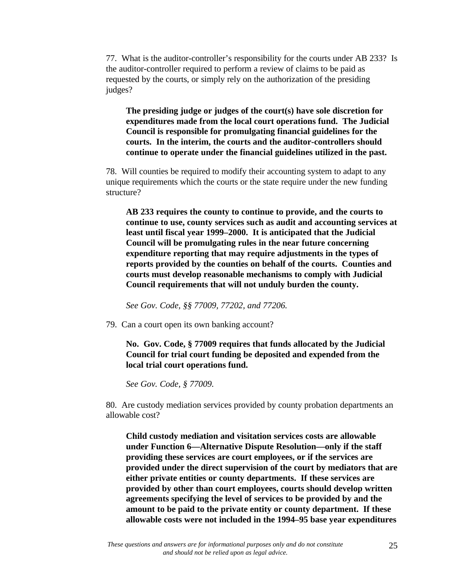77. What is the auditor-controller's responsibility for the courts under AB 233? Is the auditor-controller required to perform a review of claims to be paid as requested by the courts, or simply rely on the authorization of the presiding judges?

**The presiding judge or judges of the court(s) have sole discretion for expenditures made from the local court operations fund. The Judicial Council is responsible for promulgating financial guidelines for the courts. In the interim, the courts and the auditor-controllers should continue to operate under the financial guidelines utilized in the past.**

78. Will counties be required to modify their accounting system to adapt to any unique requirements which the courts or the state require under the new funding structure?

**AB 233 requires the county to continue to provide, and the courts to continue to use, county services such as audit and accounting services at least until fiscal year 1999–2000. It is anticipated that the Judicial Council will be promulgating rules in the near future concerning expenditure reporting that may require adjustments in the types of reports provided by the counties on behalf of the courts. Counties and courts must develop reasonable mechanisms to comply with Judicial Council requirements that will not unduly burden the county.**

*See Gov. Code, §§ 77009, 77202, and 77206.*

79. Can a court open its own banking account?

**No. Gov. Code, § 77009 requires that funds allocated by the Judicial Council for trial court funding be deposited and expended from the local trial court operations fund.**

*See Gov. Code, § 77009.*

80. Are custody mediation services provided by county probation departments an allowable cost?

**Child custody mediation and visitation services costs are allowable under Function 6—Alternative Dispute Resolution—only if the staff providing these services are court employees, or if the services are provided under the direct supervision of the court by mediators that are either private entities or county departments. If these services are provided by other than court employees, courts should develop written agreements specifying the level of services to be provided by and the amount to be paid to the private entity or county department. If these allowable costs were not included in the 1994–95 base year expenditures**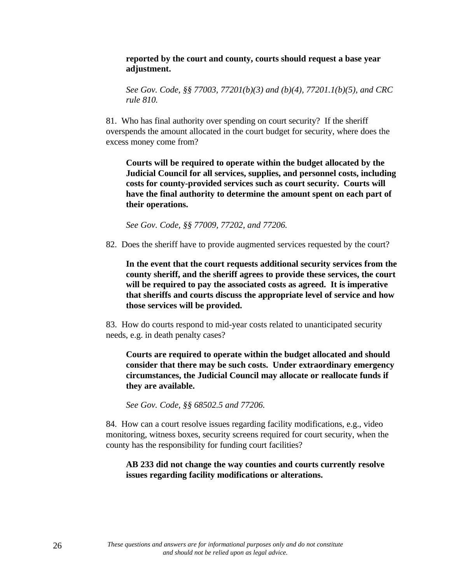#### **reported by the court and county, courts should request a base year adjustment.**

*See Gov. Code, §§ 77003, 77201(b)(3) and (b)(4), 77201.1(b)(5), and CRC rule 810.*

81. Who has final authority over spending on court security? If the sheriff overspends the amount allocated in the court budget for security, where does the excess money come from?

**Courts will be required to operate within the budget allocated by the Judicial Council for all services, supplies, and personnel costs, including costs for county-provided services such as court security. Courts will have the final authority to determine the amount spent on each part of their operations.**

*See Gov. Code, §§ 77009, 77202, and 77206.*

82. Does the sheriff have to provide augmented services requested by the court?

**In the event that the court requests additional security services from the county sheriff, and the sheriff agrees to provide these services, the court will be required to pay the associated costs as agreed. It is imperative that sheriffs and courts discuss the appropriate level of service and how those services will be provided.**

83. How do courts respond to mid-year costs related to unanticipated security needs, e.g. in death penalty cases?

**Courts are required to operate within the budget allocated and should consider that there may be such costs. Under extraordinary emergency circumstances, the Judicial Council may allocate or reallocate funds if they are available.**

*See Gov. Code, §§ 68502.5 and 77206.*

84. How can a court resolve issues regarding facility modifications, e.g., video monitoring, witness boxes, security screens required for court security, when the county has the responsibility for funding court facilities?

### **AB 233 did not change the way counties and courts currently resolve issues regarding facility modifications or alterations.**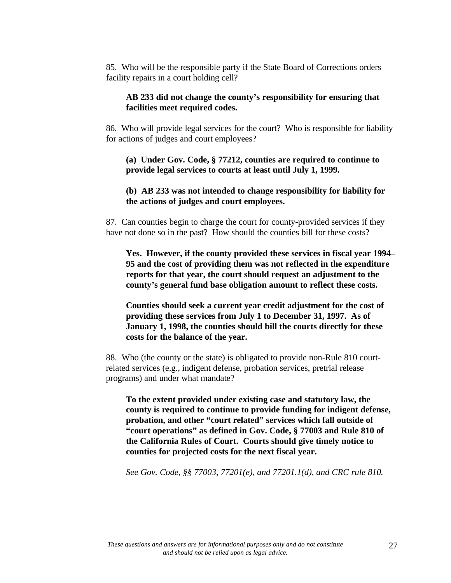85. Who will be the responsible party if the State Board of Corrections orders facility repairs in a court holding cell?

### **AB 233 did not change the county's responsibility for ensuring that facilities meet required codes.**

86. Who will provide legal services for the court? Who is responsible for liability for actions of judges and court employees?

**(a) Under Gov. Code, § 77212, counties are required to continue to provide legal services to courts at least until July 1, 1999.**

**(b) AB 233 was not intended to change responsibility for liability for the actions of judges and court employees.**

87. Can counties begin to charge the court for county-provided services if they have not done so in the past? How should the counties bill for these costs?

**Yes. However, if the county provided these services in fiscal year 1994– 95 and the cost of providing them was not reflected in the expenditure reports for that year, the court should request an adjustment to the county's general fund base obligation amount to reflect these costs.**

**Counties should seek a current year credit adjustment for the cost of providing these services from July 1 to December 31, 1997. As of January 1, 1998, the counties should bill the courts directly for these costs for the balance of the year.**

88. Who (the county or the state) is obligated to provide non-Rule 810 courtrelated services (e.g., indigent defense, probation services, pretrial release programs) and under what mandate?

**To the extent provided under existing case and statutory law, the county is required to continue to provide funding for indigent defense, probation, and other "court related" services which fall outside of "court operations" as defined in Gov. Code, § 77003 and Rule 810 of the California Rules of Court. Courts should give timely notice to counties for projected costs for the next fiscal year.**

*See Gov. Code, §§ 77003, 77201(e), and 77201.1(d), and CRC rule 810.*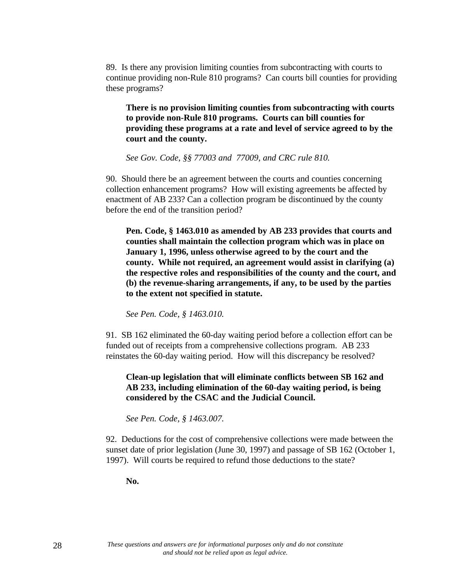89. Is there any provision limiting counties from subcontracting with courts to continue providing non-Rule 810 programs? Can courts bill counties for providing these programs?

**There is no provision limiting counties from subcontracting with courts to provide non-Rule 810 programs. Courts can bill counties for providing these programs at a rate and level of service agreed to by the court and the county.**

*See Gov. Code, §§ 77003 and 77009, and CRC rule 810.*

90. Should there be an agreement between the courts and counties concerning collection enhancement programs? How will existing agreements be affected by enactment of AB 233? Can a collection program be discontinued by the county before the end of the transition period?

**Pen. Code, § 1463.010 as amended by AB 233 provides that courts and counties shall maintain the collection program which was in place on January 1, 1996, unless otherwise agreed to by the court and the county. While not required, an agreement would assist in clarifying (a) the respective roles and responsibilities of the county and the court, and (b) the revenue-sharing arrangements, if any, to be used by the parties to the extent not specified in statute.**

*See Pen. Code, § 1463.010.*

91. SB 162 eliminated the 60-day waiting period before a collection effort can be funded out of receipts from a comprehensive collections program. AB 233 reinstates the 60-day waiting period. How will this discrepancy be resolved?

**Clean-up legislation that will eliminate conflicts between SB 162 and AB 233, including elimination of the 60-day waiting period, is being considered by the CSAC and the Judicial Council.**

*See Pen. Code, § 1463.007.*

92. Deductions for the cost of comprehensive collections were made between the sunset date of prior legislation (June 30, 1997) and passage of SB 162 (October 1, 1997). Will courts be required to refund those deductions to the state?

**No.**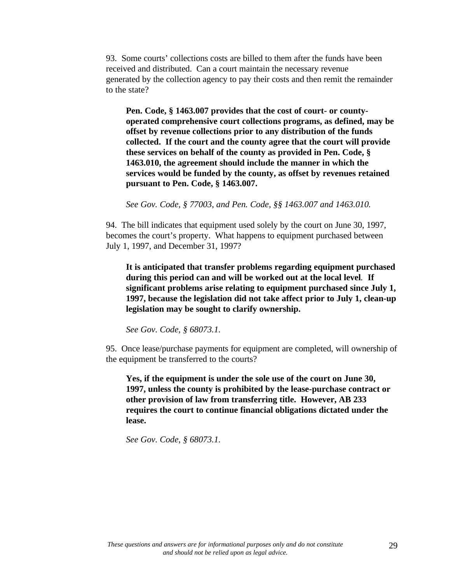93. Some courts' collections costs are billed to them after the funds have been received and distributed. Can a court maintain the necessary revenue generated by the collection agency to pay their costs and then remit the remainder to the state?

**Pen. Code, § 1463.007 provides that the cost of court- or countyoperated comprehensive court collections programs, as defined, may be offset by revenue collections prior to any distribution of the funds collected. If the court and the county agree that the court will provide these services on behalf of the county as provided in Pen. Code, § 1463.010, the agreement should include the manner in which the services would be funded by the county, as offset by revenues retained pursuant to Pen. Code, § 1463.007.**

*See Gov. Code, § 77003, and Pen. Code, §§ 1463.007 and 1463.010.*

94. The bill indicates that equipment used solely by the court on June 30, 1997, becomes the court's property. What happens to equipment purchased between July 1, 1997, and December 31, 1997?

**It is anticipated that transfer problems regarding equipment purchased during this period can and will be worked out at the local level***.* **If significant problems arise relating to equipment purchased since July 1, 1997, because the legislation did not take affect prior to July 1, clean-up legislation may be sought to clarify ownership.**

*See Gov. Code, § 68073.1.*

95. Once lease/purchase payments for equipment are completed, will ownership of the equipment be transferred to the courts?

**Yes, if the equipment is under the sole use of the court on June 30, 1997, unless the county is prohibited by the lease-purchase contract or other provision of law from transferring title. However, AB 233 requires the court to continue financial obligations dictated under the lease.**

*See Gov. Code, § 68073.1.*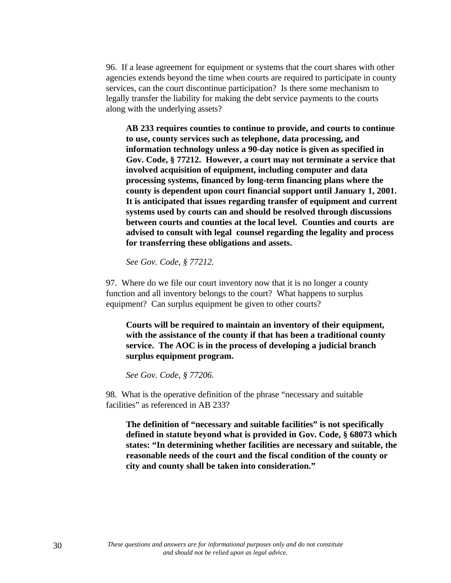96. If a lease agreement for equipment or systems that the court shares with other agencies extends beyond the time when courts are required to participate in county services, can the court discontinue participation? Is there some mechanism to legally transfer the liability for making the debt service payments to the courts along with the underlying assets?

**AB 233 requires counties to continue to provide, and courts to continue to use, county services such as telephone, data processing, and information technology unless a 90-day notice is given as specified in Gov. Code, § 77212. However, a court may not terminate a service that involved acquisition of equipment, including computer and data processing systems, financed by long-term financing plans where the county is dependent upon court financial support until January 1, 2001. It is anticipated that issues regarding transfer of equipment and current systems used by courts can and should be resolved through discussions between courts and counties at the local level. Counties and courts are advised to consult with legal counsel regarding the legality and process for transferring these obligations and assets.**

*See Gov. Code, § 77212.*

97. Where do we file our court inventory now that it is no longer a county function and all inventory belongs to the court? What happens to surplus equipment? Can surplus equipment be given to other courts?

**Courts will be required to maintain an inventory of their equipment, with the assistance of the county if that has been a traditional county service. The AOC is in the process of developing a judicial branch surplus equipment program.**

*See Gov. Code, § 77206.*

98. What is the operative definition of the phrase "necessary and suitable facilities" as referenced in AB 233?

**The definition of "necessary and suitable facilities" is not specifically defined in statute beyond what is provided in Gov. Code, § 68073 which states: "In determining whether facilities are necessary and suitable, the reasonable needs of the court and the fiscal condition of the county or city and county shall be taken into consideration."**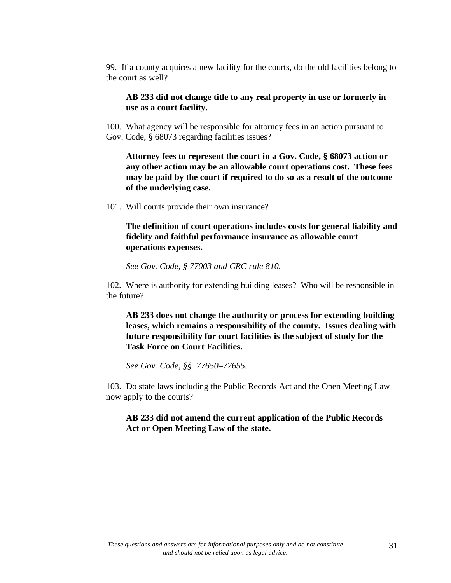99. If a county acquires a new facility for the courts, do the old facilities belong to the court as well?

**AB 233 did not change title to any real property in use or formerly in use as a court facility.**

100. What agency will be responsible for attorney fees in an action pursuant to Gov. Code, § 68073 regarding facilities issues?

**Attorney fees to represent the court in a Gov. Code, § 68073 action or any other action may be an allowable court operations cost. These fees may be paid by the court if required to do so as a result of the outcome of the underlying case.**

101. Will courts provide their own insurance?

**The definition of court operations includes costs for general liability and fidelity and faithful performance insurance as allowable court operations expenses.**

*See Gov. Code, § 77003 and CRC rule 810.*

102. Where is authority for extending building leases? Who will be responsible in the future?

**AB 233 does not change the authority or process for extending building leases, which remains a responsibility of the county. Issues dealing with future responsibility for court facilities is the subject of study for the Task Force on Court Facilities.**

*See Gov. Code, §§ 77650–77655.*

103. Do state laws including the Public Records Act and the Open Meeting Law now apply to the courts?

**AB 233 did not amend the current application of the Public Records Act or Open Meeting Law of the state.**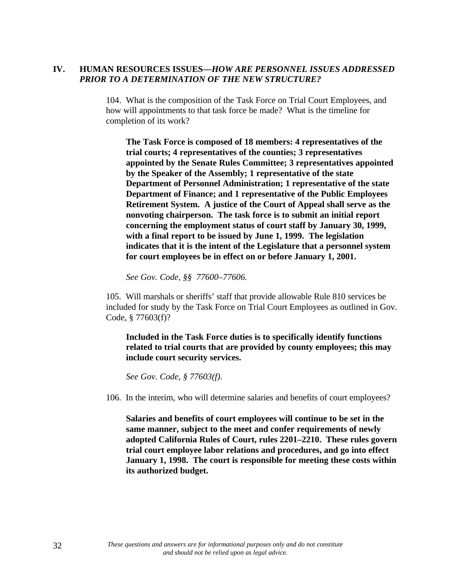# **IV. HUMAN RESOURCES ISSUES—***HOW ARE PERSONNEL ISSUES ADDRESSED PRIOR TO A DETERMINATION OF THE NEW STRUCTURE?*

104. What is the composition of the Task Force on Trial Court Employees, and how will appointments to that task force be made? What is the timeline for completion of its work?

**The Task Force is composed of 18 members: 4 representatives of the trial courts; 4 representatives of the counties; 3 representatives appointed by the Senate Rules Committee; 3 representatives appointed by the Speaker of the Assembly; 1 representative of the state Department of Personnel Administration; 1 representative of the state Department of Finance; and 1 representative of the Public Employees Retirement System. A justice of the Court of Appeal shall serve as the nonvoting chairperson. The task force is to submit an initial report concerning the employment status of court staff by January 30, 1999, with a final report to be issued by June 1, 1999. The legislation indicates that it is the intent of the Legislature that a personnel system for court employees be in effect on or before January 1, 2001.**

*See Gov. Code, §§ 77600–77606.*

105. Will marshals or sheriffs' staff that provide allowable Rule 810 services be included for study by the Task Force on Trial Court Employees as outlined in Gov. Code, § 77603(f)?

**Included in the Task Force duties is to specifically identify functions related to trial courts that are provided by county employees; this may include court security services.**

*See Gov. Code, § 77603(f).*

106. In the interim, who will determine salaries and benefits of court employees?

**Salaries and benefits of court employees will continue to be set in the same manner, subject to the meet and confer requirements of newly adopted California Rules of Court, rules 2201–2210. These rules govern trial court employee labor relations and procedures, and go into effect January 1, 1998. The court is responsible for meeting these costs within its authorized budget.**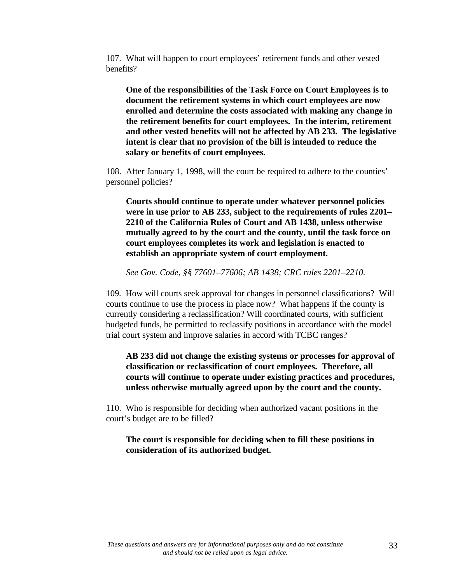107. What will happen to court employees' retirement funds and other vested benefits?

**One of the responsibilities of the Task Force on Court Employees is to document the retirement systems in which court employees are now enrolled and determine the costs associated with making any change in the retirement benefits for court employees. In the interim, retirement and other vested benefits will not be affected by AB 233. The legislative intent is clear that no provision of the bill is intended to reduce the salary or benefits of court employees.**

108. After January 1, 1998, will the court be required to adhere to the counties' personnel policies?

**Courts should continue to operate under whatever personnel policies were in use prior to AB 233, subject to the requirements of rules 2201– 2210 of the California Rules of Court and AB 1438, unless otherwise mutually agreed to by the court and the county, until the task force on court employees completes its work and legislation is enacted to establish an appropriate system of court employment.**

*See Gov. Code, §§ 77601–77606; AB 1438; CRC rules 2201–2210.*

109. How will courts seek approval for changes in personnel classifications? Will courts continue to use the process in place now? What happens if the county is currently considering a reclassification? Will coordinated courts, with sufficient budgeted funds, be permitted to reclassify positions in accordance with the model trial court system and improve salaries in accord with TCBC ranges?

**AB 233 did not change the existing systems or processes for approval of classification or reclassification of court employees. Therefore, all courts will continue to operate under existing practices and procedures, unless otherwise mutually agreed upon by the court and the county.**

110. Who is responsible for deciding when authorized vacant positions in the court's budget are to be filled?

### **The court is responsible for deciding when to fill these positions in consideration of its authorized budget.**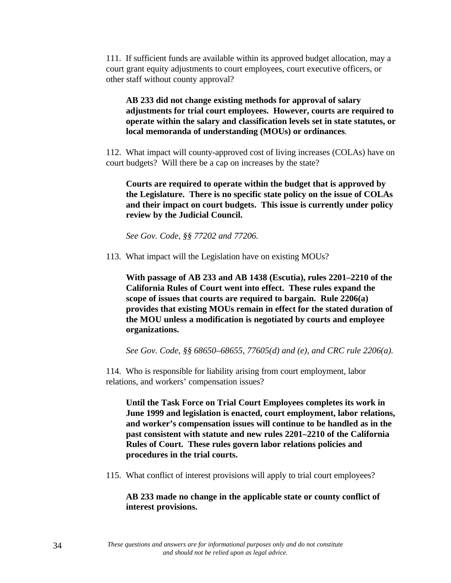111. If sufficient funds are available within its approved budget allocation, may a court grant equity adjustments to court employees, court executive officers, or other staff without county approval?

# **AB 233 did not change existing methods for approval of salary adjustments for trial court employees. However, courts are required to operate within the salary and classification levels set in state statutes, or local memoranda of understanding (MOUs) or ordinances***.*

112. What impact will county-approved cost of living increases (COLAs) have on court budgets? Will there be a cap on increases by the state?

**Courts are required to operate within the budget that is approved by the Legislature. There is no specific state policy on the issue of COLAs and their impact on court budgets. This issue is currently under policy review by the Judicial Council.**

*See Gov. Code, §§ 77202 and 77206.*

113. What impact will the Legislation have on existing MOUs?

**With passage of AB 233 and AB 1438 (Escutia), rules 2201–2210 of the California Rules of Court went into effect. These rules expand the scope of issues that courts are required to bargain. Rule 2206(a) provides that existing MOUs remain in effect for the stated duration of the MOU unless a modification is negotiated by courts and employee organizations.**

*See Gov. Code, §§ 68650–68655, 77605(d) and (e), and CRC rule 2206(a).*

114. Who is responsible for liability arising from court employment, labor relations, and workers' compensation issues?

**Until the Task Force on Trial Court Employees completes its work in June 1999 and legislation is enacted, court employment, labor relations, and worker's compensation issues will continue to be handled as in the past consistent with statute and new rules 2201–2210 of the California Rules of Court. These rules govern labor relations policies and procedures in the trial courts.**

115. What conflict of interest provisions will apply to trial court employees?

# **AB 233 made no change in the applicable state or county conflict of interest provisions.**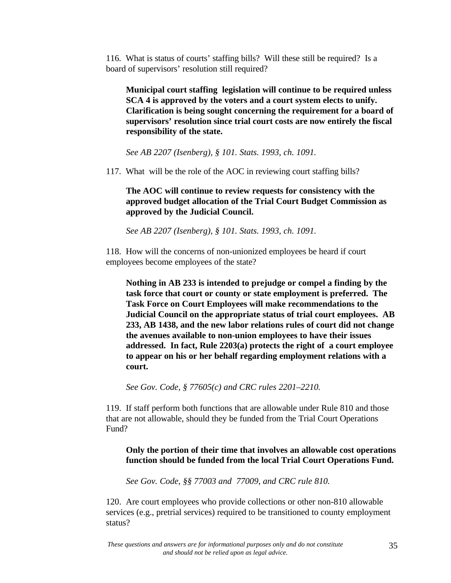116. What is status of courts' staffing bills? Will these still be required? Is a board of supervisors' resolution still required?

**Municipal court staffing legislation will continue to be required unless SCA 4 is approved by the voters and a court system elects to unify. Clarification is being sought concerning the requirement for a board of supervisors' resolution since trial court costs are now entirely the fiscal responsibility of the state.**

*See AB 2207 (Isenberg), § 101. Stats. 1993, ch. 1091.*

117. What will be the role of the AOC in reviewing court staffing bills?

**The AOC will continue to review requests for consistency with the approved budget allocation of the Trial Court Budget Commission as approved by the Judicial Council.**

*See AB 2207 (Isenberg), § 101. Stats. 1993, ch. 1091.*

118. How will the concerns of non-unionized employees be heard if court employees become employees of the state?

**Nothing in AB 233 is intended to prejudge or compel a finding by the task force that court or county or state employment is preferred. The Task Force on Court Employees will make recommendations to the Judicial Council on the appropriate status of trial court employees. AB 233, AB 1438, and the new labor relations rules of court did not change the avenues available to non-union employees to have their issues addressed. In fact, Rule 2203(a) protects the right of a court employee to appear on his or her behalf regarding employment relations with a court.**

*See Gov. Code, § 77605(c) and CRC rules 2201–2210.*

119. If staff perform both functions that are allowable under Rule 810 and those that are not allowable, should they be funded from the Trial Court Operations Fund?

# **Only the portion of their time that involves an allowable cost operations function should be funded from the local Trial Court Operations Fund.**

*See Gov. Code, §§ 77003 and 77009, and CRC rule 810.*

120. Are court employees who provide collections or other non-810 allowable services (e.g., pretrial services) required to be transitioned to county employment status?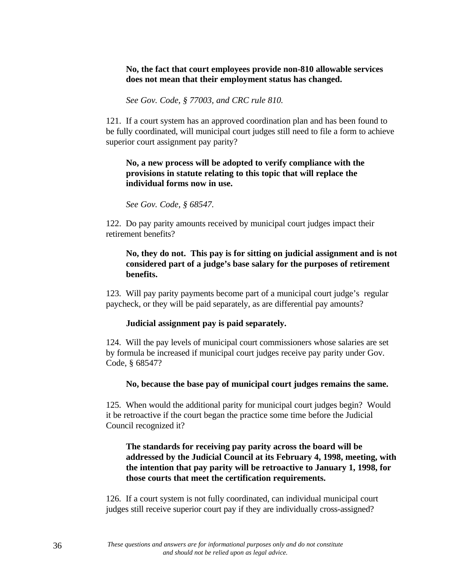# **No, the fact that court employees provide non-810 allowable services does not mean that their employment status has changed.**

*See Gov. Code, § 77003, and CRC rule 810.*

121. If a court system has an approved coordination plan and has been found to be fully coordinated, will municipal court judges still need to file a form to achieve superior court assignment pay parity?

# **No, a new process will be adopted to verify compliance with the provisions in statute relating to this topic that will replace the individual forms now in use.**

*See Gov. Code, § 68547.*

122. Do pay parity amounts received by municipal court judges impact their retirement benefits?

# **No, they do not. This pay is for sitting on judicial assignment and is not considered part of a judge's base salary for the purposes of retirement benefits.**

123. Will pay parity payments become part of a municipal court judge's regular paycheck, or they will be paid separately, as are differential pay amounts?

### **Judicial assignment pay is paid separately.**

124. Will the pay levels of municipal court commissioners whose salaries are set by formula be increased if municipal court judges receive pay parity under Gov. Code, § 68547?

### **No, because the base pay of municipal court judges remains the same.**

125. When would the additional parity for municipal court judges begin? Would it be retroactive if the court began the practice some time before the Judicial Council recognized it?

# **The standards for receiving pay parity across the board will be addressed by the Judicial Council at its February 4, 1998, meeting, with the intention that pay parity will be retroactive to January 1, 1998, for those courts that meet the certification requirements.**

126. If a court system is not fully coordinated, can individual municipal court judges still receive superior court pay if they are individually cross-assigned?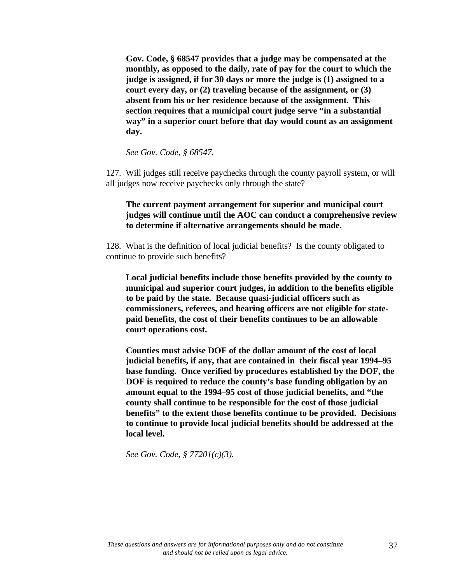**Gov. Code, § 68547 provides that a judge may be compensated at the monthly, as opposed to the daily, rate of pay for the court to which the judge is assigned, if for 30 days or more the judge is (1) assigned to a court every day, or (2) traveling because of the assignment, or (3) absent from his or her residence because of the assignment. This section requires that a municipal court judge serve "in a substantial way" in a superior court before that day would count as an assignment day.**

*See Gov. Code, § 68547.*

127. Will judges still receive paychecks through the county payroll system, or will all judges now receive paychecks only through the state?

### **The current payment arrangement for superior and municipal court judges will continue until the AOC can conduct a comprehensive review to determine if alternative arrangements should be made.**

128. What is the definition of local judicial benefits? Is the county obligated to continue to provide such benefits?

**Local judicial benefits include those benefits provided by the county to municipal and superior court judges, in addition to the benefits eligible to be paid by the state. Because quasi-judicial officers such as commissioners, referees, and hearing officers are not eligible for statepaid benefits, the cost of their benefits continues to be an allowable court operations cost.**

**Counties must advise DOF of the dollar amount of the cost of local judicial benefits, if any, that are contained in their fiscal year 1994–95 base funding. Once verified by procedures established by the DOF, the DOF is required to reduce the county's base funding obligation by an amount equal to the 1994–95 cost of those judicial benefits, and "the county shall continue to be responsible for the cost of those judicial benefits" to the extent those benefits continue to be provided. Decisions to continue to provide local judicial benefits should be addressed at the local level.**

*See Gov. Code, § 77201(c)(3).*